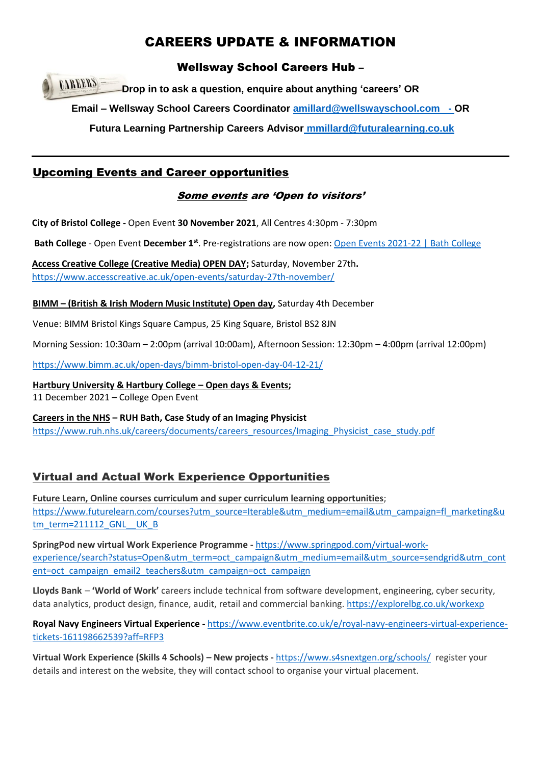## CAREERS UPDATE & INFORMATION

#### Wellsway School Careers Hub –

**CAREERS Drop in to ask a question, enquire about anything 'careers' OR**

**Email – Wellsway School Careers Coordinator [amillard@wellswayschool.com](mailto:amillard@wellswayschool.com) - OR** 

**Futura Learning Partnership Careers Advisor [mmillard@futuralearning.co.uk](mailto:mmillard@futuralearning.co.uk)**

#### Upcoming Events and Career opportunities

#### Some events are 'Open to visitors'

**City of Bristol College -** Open Event **30 November 2021**, All Centres 4:30pm - 7:30pm

**Bath College** - Open Event **December 1st**. Pre-registrations are now open[: Open Events 2021-22 | Bath College](https://www.bathcollege.ac.uk/openevents)

**Access Creative College (Creative Media) OPEN DAY;** Saturday, November 27th**.**  <https://www.accesscreative.ac.uk/open-events/saturday-27th-november/>

**BIMM – (British & Irish Modern Music Institute) Open day,** Saturday 4th December

Venue: BIMM Bristol Kings Square Campus, 25 King Square, Bristol BS2 8JN

Morning Session: 10:30am – 2:00pm (arrival 10:00am), Afternoon Session: 12:30pm – 4:00pm (arrival 12:00pm)

<https://www.bimm.ac.uk/open-days/bimm-bristol-open-day-04-12-21/>

**Hartbury University & Hartbury College – Open days & Events;**  11 December 2021 – College Open Event

**Careers in the NHS – RUH Bath, Case Study of an Imaging Physicist** [https://www.ruh.nhs.uk/careers/documents/careers\\_resources/Imaging\\_Physicist\\_case\\_study.pdf](https://www.ruh.nhs.uk/careers/documents/careers_resources/Imaging_Physicist_case_study.pdf)

### Virtual and Actual Work Experience Opportunities

**Future Learn, Online courses curriculum and super curriculum learning opportunities**; [https://www.futurelearn.com/courses?utm\\_source=Iterable&utm\\_medium=email&utm\\_campaign=fl\\_marketing&u](https://www.futurelearn.com/courses?utm_source=Iterable&utm_medium=email&utm_campaign=fl_marketing&utm_term=211112_GNL__UK_B) [tm\\_term=211112\\_GNL\\_\\_UK\\_B](https://www.futurelearn.com/courses?utm_source=Iterable&utm_medium=email&utm_campaign=fl_marketing&utm_term=211112_GNL__UK_B)

**SpringPod new virtual Work Experience Programme -** [https://www.springpod.com/virtual-work](https://www.springpod.com/virtual-work-experience/search?status=Open&utm_term=oct_campaign&utm_medium=email&utm_source=sendgrid&utm_content=oct_campaign_email2_teachers&utm_campaign=oct_campaign)[experience/search?status=Open&utm\\_term=oct\\_campaign&utm\\_medium=email&utm\\_source=sendgrid&utm\\_cont](https://www.springpod.com/virtual-work-experience/search?status=Open&utm_term=oct_campaign&utm_medium=email&utm_source=sendgrid&utm_content=oct_campaign_email2_teachers&utm_campaign=oct_campaign) [ent=oct\\_campaign\\_email2\\_teachers&utm\\_campaign=oct\\_campaign](https://www.springpod.com/virtual-work-experience/search?status=Open&utm_term=oct_campaign&utm_medium=email&utm_source=sendgrid&utm_content=oct_campaign_email2_teachers&utm_campaign=oct_campaign)

**Lloyds Bank** – **'World of Work'** careers include technical from software development, engineering, cyber security, data analytics, product design, finance, audit, retail and commercial banking. <https://explorelbg.co.uk/workexp>

**Royal Navy Engineers Virtual Experience -** [https://www.eventbrite.co.uk/e/royal-navy-engineers-virtual-experience](https://www.eventbrite.co.uk/e/royal-navy-engineers-virtual-experience-tickets-161198662539?aff=RFP3)[tickets-161198662539?aff=RFP3](https://www.eventbrite.co.uk/e/royal-navy-engineers-virtual-experience-tickets-161198662539?aff=RFP3)

**Virtual Work Experience (Skills 4 Schools) – New projects -** <https://www.s4snextgen.org/schools/>register your details and interest on the website, they will contact school to organise your virtual placement.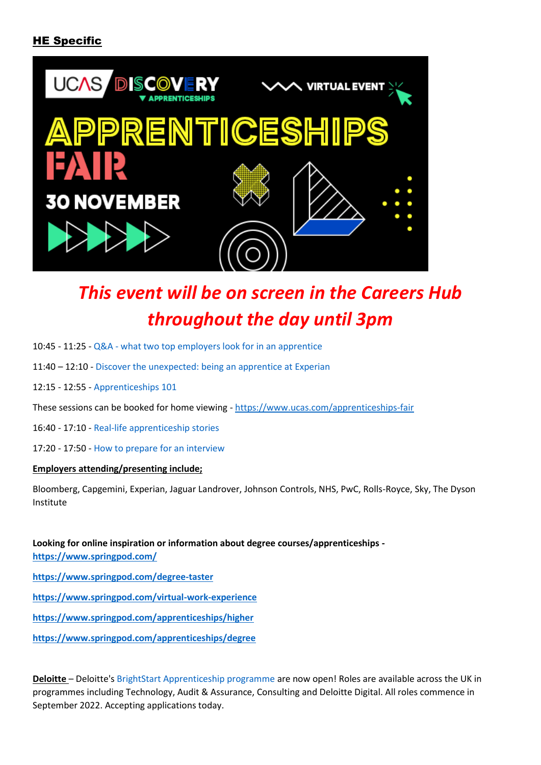#### HE Specific



# *This event will be on screen in the Careers Hub throughout the day until 3pm*

- 10:45 11:25 Q&A [what two top employers look for in an apprentice](https://www.ucas.com/node/404796/view/agenda/5616#agenda-item-title)
- 11:40 12:10 [Discover the unexpected: being an apprentice at Experian](https://www.ucas.com/node/404796/view/agenda/5621#agenda-item-title)
- 12:15 12:55 [Apprenticeships 101](https://www.ucas.com/node/404796/view/agenda/5626#agenda-item-title)
- These sessions can be booked for home viewing <https://www.ucas.com/apprenticeships-fair>
- 16:40 17:10 [Real-life apprenticeship stories](https://www.ucas.com/node/404796/view/agenda/5631#agenda-item-title)
- 17:20 17:50 [How to prepare for an interview](https://www.ucas.com/node/404796/view/agenda/5636#agenda-item-title)

#### **Employers attending/presenting include;**

Bloomberg, Capgemini, Experian, Jaguar Landrover, Johnson Controls, NHS, PwC, Rolls-Royce, Sky, The Dyson Institute

**Looking for online inspiration or information about degree courses/apprenticeships <https://www.springpod.com/> <https://www.springpod.com/degree-taster> <https://www.springpod.com/virtual-work-experience> <https://www.springpod.com/apprenticeships/higher>**

**<https://www.springpod.com/apprenticeships/degree>**

**Deloitte** – Deloitte's [BrightStart Apprenticeship programme](https://go.mykindafuture.com/e/832393/ess-apprenticeship-scheme-html/6r144/245031499?h=L-YoJQnwAM3uhgh_jQX4en6xDDp_wREvdm2kUDku5ew) are now open! Roles are available across the UK in programmes including Technology, Audit & Assurance, Consulting and Deloitte Digital. All roles commence in September 2022. Accepting applications today.